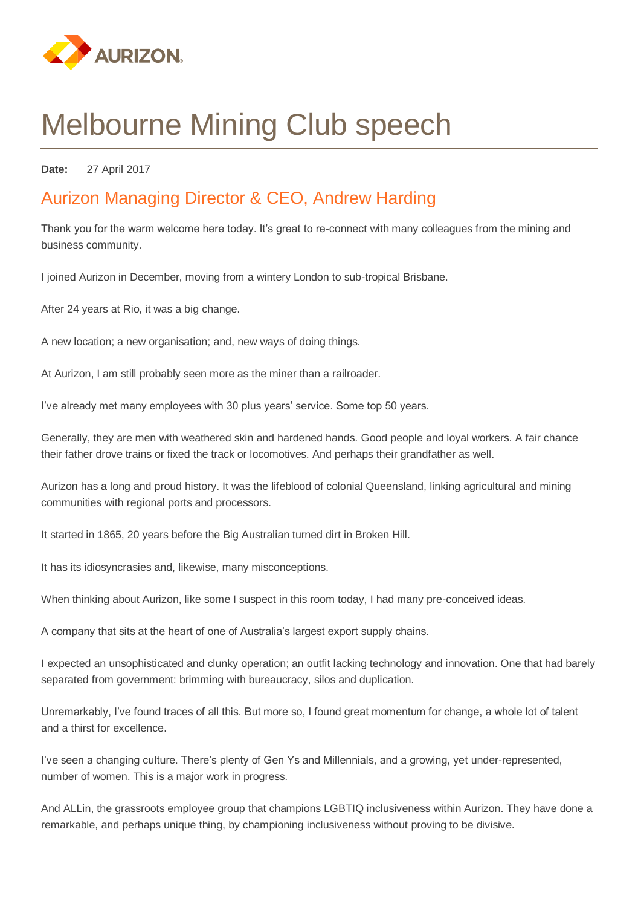

# Melbourne Mining Club speech

**Date:** 27 April 2017

## Aurizon Managing Director & CEO, Andrew Harding

Thank you for the warm welcome here today. It's great to re-connect with many colleagues from the mining and business community.

I joined Aurizon in December, moving from a wintery London to sub-tropical Brisbane.

After 24 years at Rio, it was a big change.

A new location; a new organisation; and, new ways of doing things.

At Aurizon, I am still probably seen more as the miner than a railroader.

I've already met many employees with 30 plus years' service. Some top 50 years.

Generally, they are men with weathered skin and hardened hands. Good people and loyal workers. A fair chance their father drove trains or fixed the track or locomotives. And perhaps their grandfather as well.

Aurizon has a long and proud history. It was the lifeblood of colonial Queensland, linking agricultural and mining communities with regional ports and processors.

It started in 1865, 20 years before the Big Australian turned dirt in Broken Hill.

It has its idiosyncrasies and, likewise, many misconceptions.

When thinking about Aurizon, like some I suspect in this room today, I had many pre-conceived ideas.

A company that sits at the heart of one of Australia's largest export supply chains.

I expected an unsophisticated and clunky operation; an outfit lacking technology and innovation. One that had barely separated from government: brimming with bureaucracy, silos and duplication.

Unremarkably, I've found traces of all this. But more so, I found great momentum for change, a whole lot of talent and a thirst for excellence.

I've seen a changing culture. There's plenty of Gen Ys and Millennials, and a growing, yet under-represented, number of women. This is a major work in progress.

And ALLin, the grassroots employee group that champions LGBTIQ inclusiveness within Aurizon. They have done a remarkable, and perhaps unique thing, by championing inclusiveness without proving to be divisive.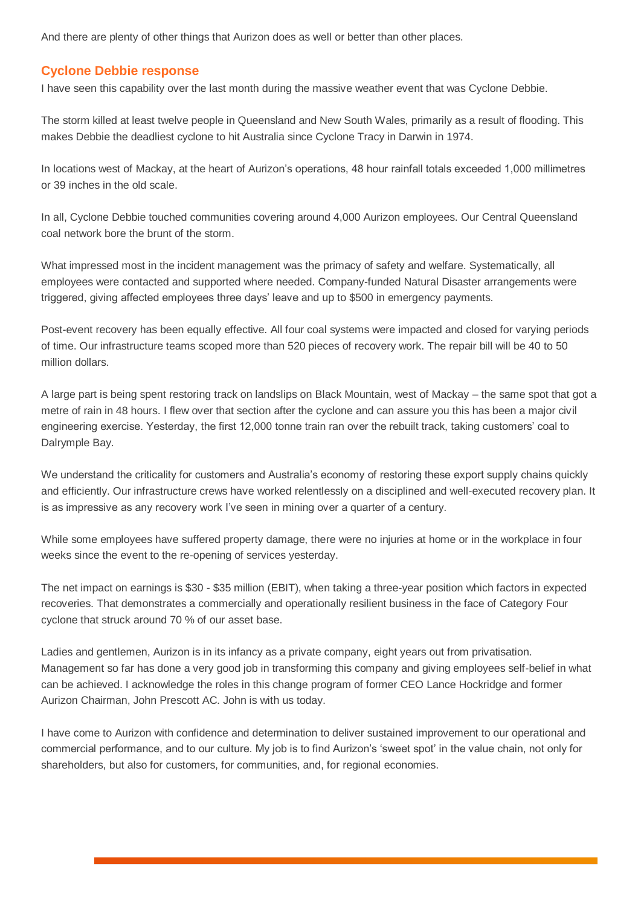And there are plenty of other things that Aurizon does as well or better than other places.

## **Cyclone Debbie response**

I have seen this capability over the last month during the massive weather event that was Cyclone Debbie.

The storm killed at least twelve people in Queensland and New South Wales, primarily as a result of flooding. This makes Debbie the deadliest cyclone to hit Australia since Cyclone Tracy in Darwin in 1974.

In locations west of Mackay, at the heart of Aurizon's operations, 48 hour rainfall totals exceeded 1,000 millimetres or 39 inches in the old scale.

In all, Cyclone Debbie touched communities covering around 4,000 Aurizon employees. Our Central Queensland coal network bore the brunt of the storm.

What impressed most in the incident management was the primacy of safety and welfare. Systematically, all employees were contacted and supported where needed. Company-funded Natural Disaster arrangements were triggered, giving affected employees three days' leave and up to \$500 in emergency payments.

Post-event recovery has been equally effective. All four coal systems were impacted and closed for varying periods of time. Our infrastructure teams scoped more than 520 pieces of recovery work. The repair bill will be 40 to 50 million dollars.

A large part is being spent restoring track on landslips on Black Mountain, west of Mackay – the same spot that got a metre of rain in 48 hours. I flew over that section after the cyclone and can assure you this has been a major civil engineering exercise. Yesterday, the first 12,000 tonne train ran over the rebuilt track, taking customers' coal to Dalrymple Bay.

We understand the criticality for customers and Australia's economy of restoring these export supply chains quickly and efficiently. Our infrastructure crews have worked relentlessly on a disciplined and well-executed recovery plan. It is as impressive as any recovery work I've seen in mining over a quarter of a century.

While some employees have suffered property damage, there were no injuries at home or in the workplace in four weeks since the event to the re-opening of services yesterday.

The net impact on earnings is \$30 - \$35 million (EBIT), when taking a three-year position which factors in expected recoveries. That demonstrates a commercially and operationally resilient business in the face of Category Four cyclone that struck around 70 % of our asset base.

Ladies and gentlemen, Aurizon is in its infancy as a private company, eight years out from privatisation. Management so far has done a very good job in transforming this company and giving employees self-belief in what can be achieved. I acknowledge the roles in this change program of former CEO Lance Hockridge and former Aurizon Chairman, John Prescott AC. John is with us today.

I have come to Aurizon with confidence and determination to deliver sustained improvement to our operational and commercial performance, and to our culture. My job is to find Aurizon's 'sweet spot' in the value chain, not only for shareholders, but also for customers, for communities, and, for regional economies.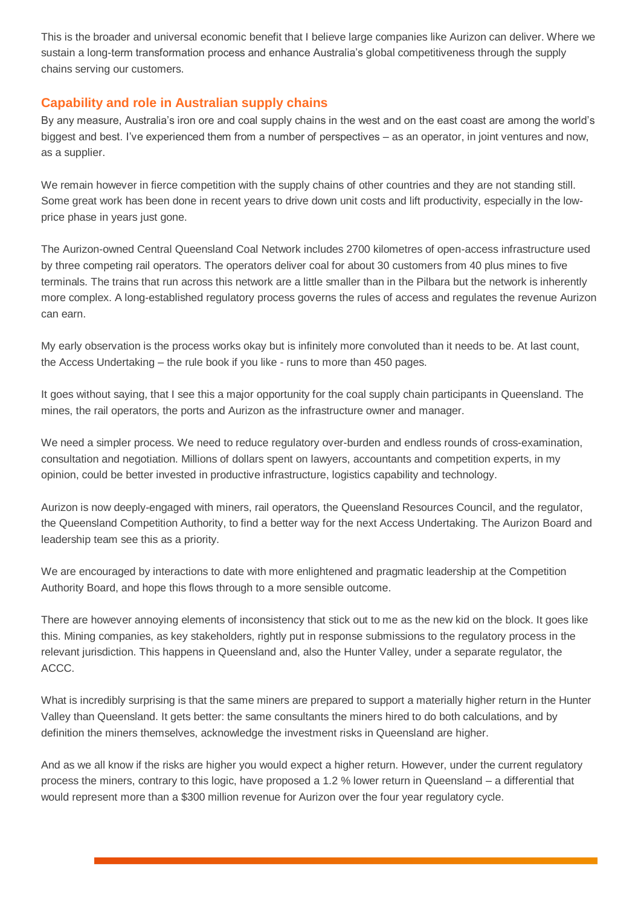This is the broader and universal economic benefit that I believe large companies like Aurizon can deliver. Where we sustain a long-term transformation process and enhance Australia's global competitiveness through the supply chains serving our customers.

## **Capability and role in Australian supply chains**

By any measure, Australia's iron ore and coal supply chains in the west and on the east coast are among the world's biggest and best. I've experienced them from a number of perspectives – as an operator, in joint ventures and now, as a supplier.

We remain however in fierce competition with the supply chains of other countries and they are not standing still. Some great work has been done in recent years to drive down unit costs and lift productivity, especially in the lowprice phase in years just gone.

The Aurizon-owned Central Queensland Coal Network includes 2700 kilometres of open-access infrastructure used by three competing rail operators. The operators deliver coal for about 30 customers from 40 plus mines to five terminals. The trains that run across this network are a little smaller than in the Pilbara but the network is inherently more complex. A long-established regulatory process governs the rules of access and regulates the revenue Aurizon can earn.

My early observation is the process works okay but is infinitely more convoluted than it needs to be. At last count, the Access Undertaking – the rule book if you like - runs to more than 450 pages.

It goes without saying, that I see this a major opportunity for the coal supply chain participants in Queensland. The mines, the rail operators, the ports and Aurizon as the infrastructure owner and manager.

We need a simpler process. We need to reduce regulatory over-burden and endless rounds of cross-examination, consultation and negotiation. Millions of dollars spent on lawyers, accountants and competition experts, in my opinion, could be better invested in productive infrastructure, logistics capability and technology.

Aurizon is now deeply-engaged with miners, rail operators, the Queensland Resources Council, and the regulator, the Queensland Competition Authority, to find a better way for the next Access Undertaking. The Aurizon Board and leadership team see this as a priority.

We are encouraged by interactions to date with more enlightened and pragmatic leadership at the Competition Authority Board, and hope this flows through to a more sensible outcome.

There are however annoying elements of inconsistency that stick out to me as the new kid on the block. It goes like this. Mining companies, as key stakeholders, rightly put in response submissions to the regulatory process in the relevant jurisdiction. This happens in Queensland and, also the Hunter Valley, under a separate regulator, the ACCC.

What is incredibly surprising is that the same miners are prepared to support a materially higher return in the Hunter Valley than Queensland. It gets better: the same consultants the miners hired to do both calculations, and by definition the miners themselves, acknowledge the investment risks in Queensland are higher.

And as we all know if the risks are higher you would expect a higher return. However, under the current regulatory process the miners, contrary to this logic, have proposed a 1.2 % lower return in Queensland – a differential that would represent more than a \$300 million revenue for Aurizon over the four year regulatory cycle.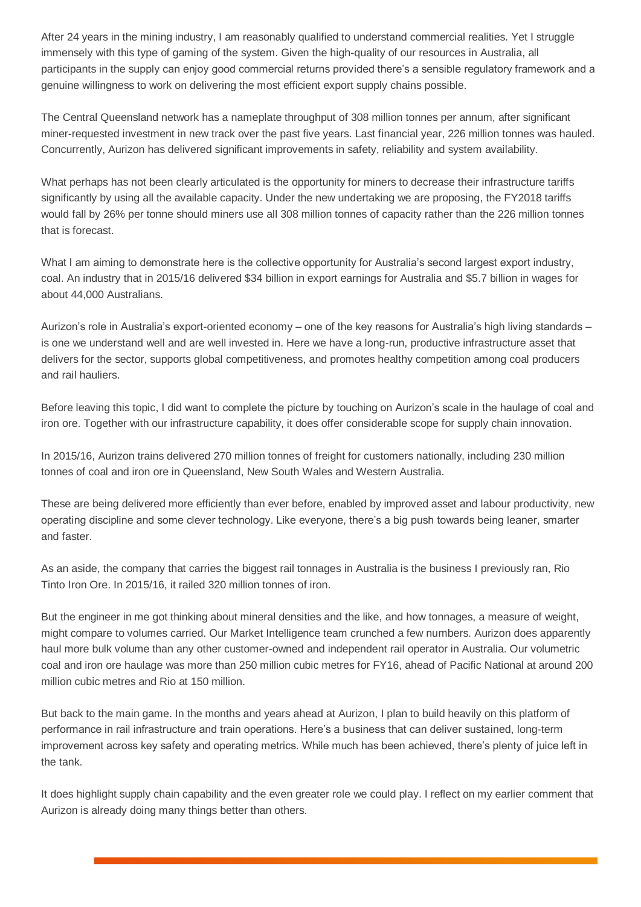After 24 years in the mining industry. I am reasonably qualified to understand commercial realities. Yet I struggle immensely with this type of gaming of the system. Given the high-quality of our resources in Australia, all participants in the supply can enjoy good commercial returns provided there's a sensible regulatory framework and a genuine willingness to work on delivering the most efficient export supply chains possible.

The Central Queensland network has a nameplate throughput of 308 million tonnes per annum, after significant miner-requested investment in new track over the past five years. Last financial year, 226 million tonnes was hauled. Concurrently, Aurizon has delivered significant improvements in safety, reliability and system availability.

What perhaps has not been clearly articulated is the opportunity for miners to decrease their infrastructure tariffs significantly by using all the available capacity. Under the new undertaking we are proposing, the FY2018 tariffs would fall by 26% per tonne should miners use all 308 million tonnes of capacity rather than the 226 million tonnes that is forecast.

What I am aiming to demonstrate here is the collective opportunity for Australia's second largest export industry, coal. An industry that in 2015/16 delivered \$34 billion in export earnings for Australia and \$5.7 billion in wages for about 44,000 Australians.

Aurizon's role in Australia's export-oriented economy – one of the key reasons for Australia's high living standards – is one we understand well and are well invested in. Here we have a long-run, productive infrastructure asset that delivers for the sector, supports global competitiveness, and promotes healthy competition among coal producers and rail hauliers.

Before leaving this topic, I did want to complete the picture by touching on Aurizon's scale in the haulage of coal and iron ore. Together with our infrastructure capability, it does offer considerable scope for supply chain innovation.

In 2015/16, Aurizon trains delivered 270 million tonnes of freight for customers nationally, including 230 million tonnes of coal and iron ore in Queensland, New South Wales and Western Australia.

These are being delivered more efficiently than ever before, enabled by improved asset and labour productivity, new operating discipline and some clever technology. Like everyone, there's a big push towards being leaner, smarter and faster.

As an aside, the company that carries the biggest rail tonnages in Australia is the business I previously ran, Rio Tinto Iron Ore. In 2015/16, it railed 320 million tonnes of iron.

But the engineer in me got thinking about mineral densities and the like, and how tonnages, a measure of weight, might compare to volumes carried. Our Market Intelligence team crunched a few numbers. Aurizon does apparently haul more bulk volume than any other customer-owned and independent rail operator in Australia. Our volumetric coal and iron ore haulage was more than 250 million cubic metres for FY16, ahead of Pacific National at around 200 million cubic metres and Rio at 150 million.

But back to the main game. In the months and years ahead at Aurizon, I plan to build heavily on this platform of performance in rail infrastructure and train operations. Here's a business that can deliver sustained, long-term improvement across key safety and operating metrics. While much has been achieved, there's plenty of juice left in the tank.

It does highlight supply chain capability and the even greater role we could play. I reflect on my earlier comment that Aurizon is already doing many things better than others.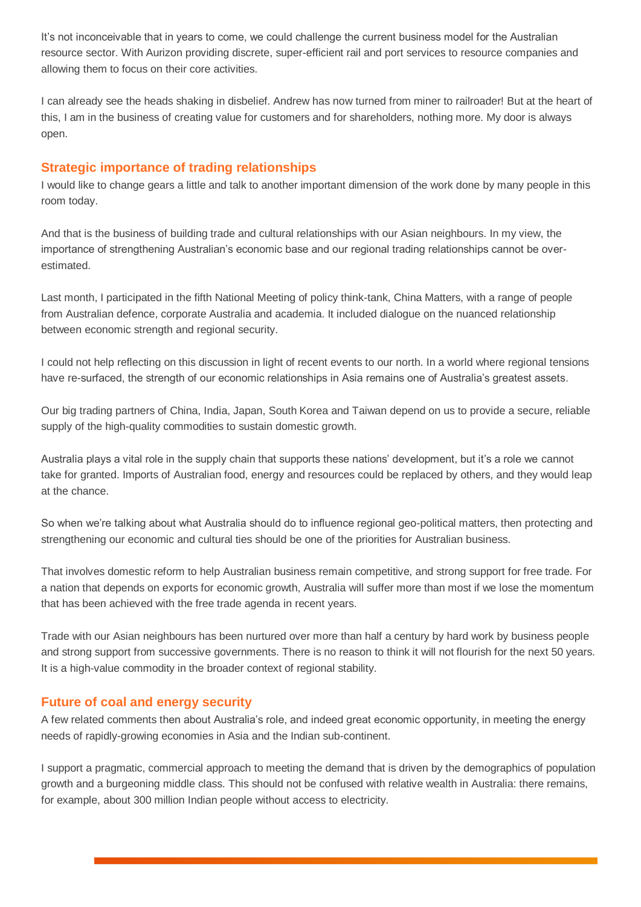It's not inconceivable that in years to come, we could challenge the current business model for the Australian resource sector. With Aurizon providing discrete, super-efficient rail and port services to resource companies and allowing them to focus on their core activities.

I can already see the heads shaking in disbelief. Andrew has now turned from miner to railroader! But at the heart of this, I am in the business of creating value for customers and for shareholders, nothing more. My door is always open.

## **Strategic importance of trading relationships**

I would like to change gears a little and talk to another important dimension of the work done by many people in this room today.

And that is the business of building trade and cultural relationships with our Asian neighbours. In my view, the importance of strengthening Australian's economic base and our regional trading relationships cannot be overestimated.

Last month, I participated in the fifth National Meeting of policy think-tank, China Matters, with a range of people from Australian defence, corporate Australia and academia. It included dialogue on the nuanced relationship between economic strength and regional security.

I could not help reflecting on this discussion in light of recent events to our north. In a world where regional tensions have re-surfaced, the strength of our economic relationships in Asia remains one of Australia's greatest assets.

Our big trading partners of China, India, Japan, South Korea and Taiwan depend on us to provide a secure, reliable supply of the high-quality commodities to sustain domestic growth.

Australia plays a vital role in the supply chain that supports these nations' development, but it's a role we cannot take for granted. Imports of Australian food, energy and resources could be replaced by others, and they would leap at the chance.

So when we're talking about what Australia should do to influence regional geo-political matters, then protecting and strengthening our economic and cultural ties should be one of the priorities for Australian business.

That involves domestic reform to help Australian business remain competitive, and strong support for free trade. For a nation that depends on exports for economic growth, Australia will suffer more than most if we lose the momentum that has been achieved with the free trade agenda in recent years.

Trade with our Asian neighbours has been nurtured over more than half a century by hard work by business people and strong support from successive governments. There is no reason to think it will not flourish for the next 50 years. It is a high-value commodity in the broader context of regional stability.

## **Future of coal and energy security**

A few related comments then about Australia's role, and indeed great economic opportunity, in meeting the energy needs of rapidly-growing economies in Asia and the Indian sub-continent.

I support a pragmatic, commercial approach to meeting the demand that is driven by the demographics of population growth and a burgeoning middle class. This should not be confused with relative wealth in Australia: there remains, for example, about 300 million Indian people without access to electricity.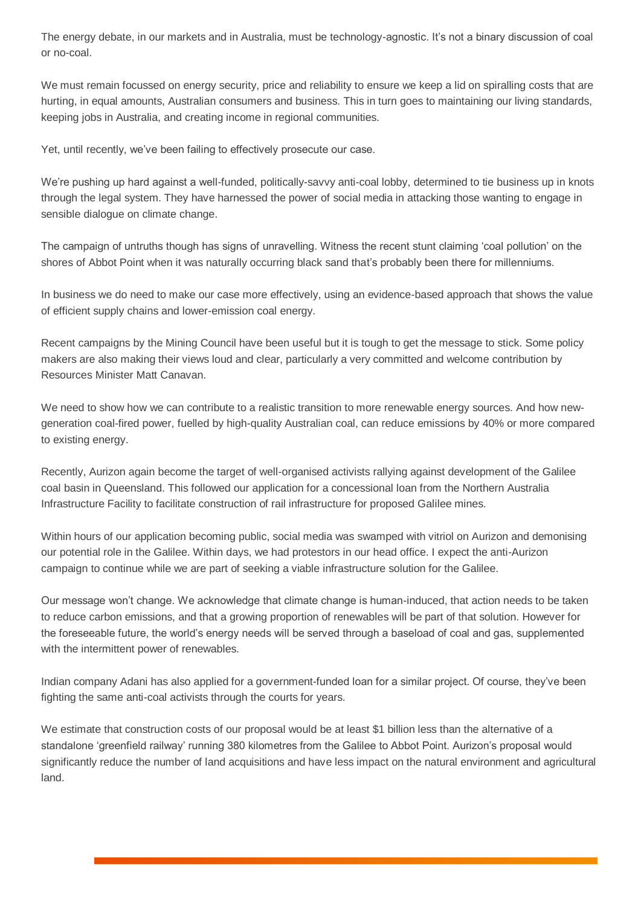The energy debate, in our markets and in Australia, must be technology-agnostic. It's not a binary discussion of coal or no-coal.

We must remain focussed on energy security, price and reliability to ensure we keep a lid on spiralling costs that are hurting, in equal amounts, Australian consumers and business. This in turn goes to maintaining our living standards, keeping jobs in Australia, and creating income in regional communities.

Yet, until recently, we've been failing to effectively prosecute our case.

We're pushing up hard against a well-funded, politically-savvy anti-coal lobby, determined to tie business up in knots through the legal system. They have harnessed the power of social media in attacking those wanting to engage in sensible dialogue on climate change.

The campaign of untruths though has signs of unravelling. Witness the recent stunt claiming 'coal pollution' on the shores of Abbot Point when it was naturally occurring black sand that's probably been there for millenniums.

In business we do need to make our case more effectively, using an evidence-based approach that shows the value of efficient supply chains and lower-emission coal energy.

Recent campaigns by the Mining Council have been useful but it is tough to get the message to stick. Some policy makers are also making their views loud and clear, particularly a very committed and welcome contribution by Resources Minister Matt Canavan.

We need to show how we can contribute to a realistic transition to more renewable energy sources. And how newgeneration coal-fired power, fuelled by high-quality Australian coal, can reduce emissions by 40% or more compared to existing energy.

Recently, Aurizon again become the target of well-organised activists rallying against development of the Galilee coal basin in Queensland. This followed our application for a concessional loan from the Northern Australia Infrastructure Facility to facilitate construction of rail infrastructure for proposed Galilee mines.

Within hours of our application becoming public, social media was swamped with vitriol on Aurizon and demonising our potential role in the Galilee. Within days, we had protestors in our head office. I expect the anti-Aurizon campaign to continue while we are part of seeking a viable infrastructure solution for the Galilee.

Our message won't change. We acknowledge that climate change is human-induced, that action needs to be taken to reduce carbon emissions, and that a growing proportion of renewables will be part of that solution. However for the foreseeable future, the world's energy needs will be served through a baseload of coal and gas, supplemented with the intermittent power of renewables.

Indian company Adani has also applied for a government-funded loan for a similar project. Of course, they've been fighting the same anti-coal activists through the courts for years.

We estimate that construction costs of our proposal would be at least \$1 billion less than the alternative of a standalone 'greenfield railway' running 380 kilometres from the Galilee to Abbot Point. Aurizon's proposal would significantly reduce the number of land acquisitions and have less impact on the natural environment and agricultural land.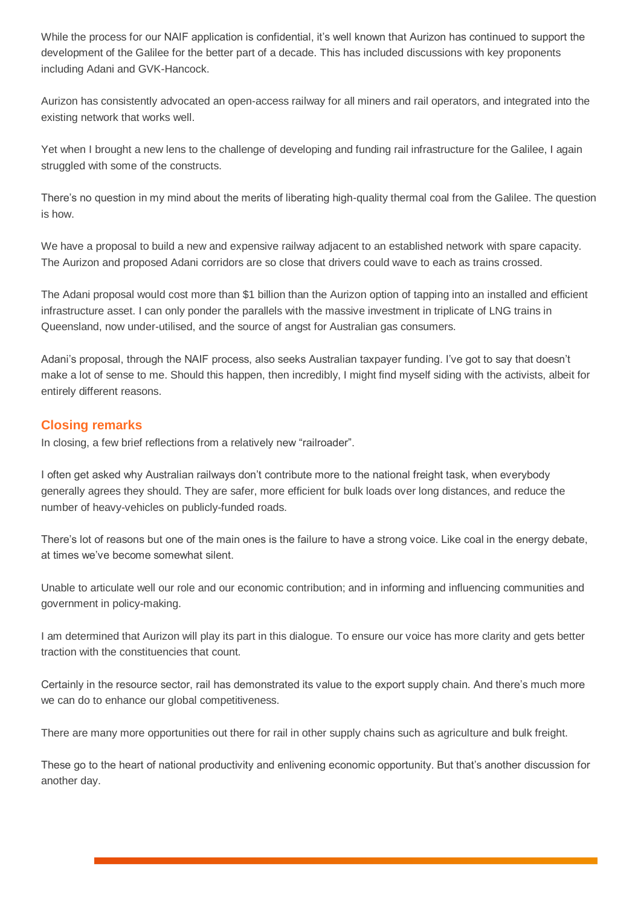While the process for our NAIF application is confidential, it's well known that Aurizon has continued to support the development of the Galilee for the better part of a decade. This has included discussions with key proponents including Adani and GVK-Hancock.

Aurizon has consistently advocated an open-access railway for all miners and rail operators, and integrated into the existing network that works well.

Yet when I brought a new lens to the challenge of developing and funding rail infrastructure for the Galilee, I again struggled with some of the constructs.

There's no question in my mind about the merits of liberating high-quality thermal coal from the Galilee. The question is how.

We have a proposal to build a new and expensive railway adjacent to an established network with spare capacity. The Aurizon and proposed Adani corridors are so close that drivers could wave to each as trains crossed.

The Adani proposal would cost more than \$1 billion than the Aurizon option of tapping into an installed and efficient infrastructure asset. I can only ponder the parallels with the massive investment in triplicate of LNG trains in Queensland, now under-utilised, and the source of angst for Australian gas consumers.

Adani's proposal, through the NAIF process, also seeks Australian taxpayer funding. I've got to say that doesn't make a lot of sense to me. Should this happen, then incredibly, I might find myself siding with the activists, albeit for entirely different reasons.

## **Closing remarks**

In closing, a few brief reflections from a relatively new "railroader".

I often get asked why Australian railways don't contribute more to the national freight task, when everybody generally agrees they should. They are safer, more efficient for bulk loads over long distances, and reduce the number of heavy-vehicles on publicly-funded roads.

There's lot of reasons but one of the main ones is the failure to have a strong voice. Like coal in the energy debate, at times we've become somewhat silent.

Unable to articulate well our role and our economic contribution; and in informing and influencing communities and government in policy-making.

I am determined that Aurizon will play its part in this dialogue. To ensure our voice has more clarity and gets better traction with the constituencies that count.

Certainly in the resource sector, rail has demonstrated its value to the export supply chain. And there's much more we can do to enhance our global competitiveness.

There are many more opportunities out there for rail in other supply chains such as agriculture and bulk freight.

These go to the heart of national productivity and enlivening economic opportunity. But that's another discussion for another day.